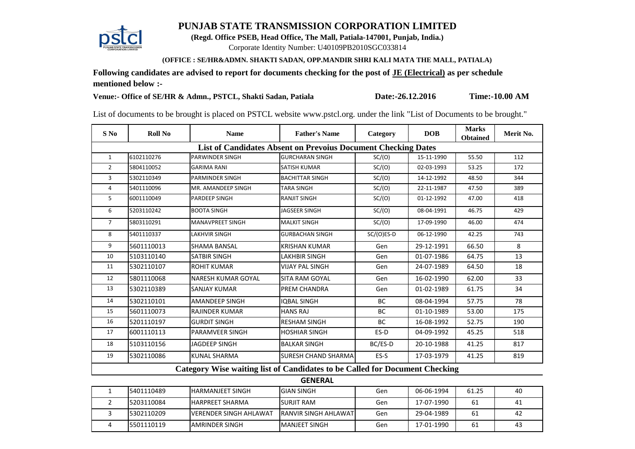## **PUNJAB STATE TRANSMISSION CORPORATION LIMITED**



**(Regd. Office PSEB, Head Office, The Mall, Patiala-147001, Punjab, India.)**

Corporate Identity Number: U40109PB2010SGC033814

## **(OFFICE : SE/HR&ADMN. SHAKTI SADAN, OPP.MANDIR SHRI KALI MATA THE MALL, PATIALA)**

**Following candidates are advised to report for documents checking for the post of JE (Electrical) as per schedule mentioned below :-**

**Venue:- Office of SE/HR & Admn., PSTCL, Shakti Sadan, Patiala Date:-26.12.2016 Time:-10.00 AM**

List of documents to be brought is placed on PSTCL website www.pstcl.org. under the link "List of Documents to be brought."

| $S$ No                                                                             | <b>Roll No</b> | <b>Name</b>             | <b>Father's Name</b>       | Category     | <b>DOB</b> | <b>Marks</b><br><b>Obtained</b> | Merit No. |  |  |
|------------------------------------------------------------------------------------|----------------|-------------------------|----------------------------|--------------|------------|---------------------------------|-----------|--|--|
| <b>List of Candidates Absent on Prevoius Document Checking Dates</b>               |                |                         |                            |              |            |                                 |           |  |  |
| $\mathbf{1}$                                                                       | 6102110276     | <b>PARWINDER SINGH</b>  | <b>GURCHARAN SINGH</b>     | SC/(O)       | 15-11-1990 | 55.50                           | 112       |  |  |
| $\overline{2}$                                                                     | 5804110052     | <b>GARIMA RANI</b>      | <b>SATISH KUMAR</b>        | SC/(O)       | 02-03-1993 | 53.25                           | 172       |  |  |
| 3                                                                                  | 5302110349     | <b>PARMINDER SINGH</b>  | <b>BACHITTAR SINGH</b>     | SC/(O)       | 14-12-1992 | 48.50                           | 344       |  |  |
| 4                                                                                  | 5401110096     | MR. AMANDEEP SINGH      | <b>TARA SINGH</b>          | SC/(O)       | 22-11-1987 | 47.50                           | 389       |  |  |
| 5                                                                                  | 6001110049     | <b>PARDEEP SINGH</b>    | <b>RANJIT SINGH</b>        | SC/(O)       | 01-12-1992 | 47.00                           | 418       |  |  |
| 6                                                                                  | 5203110242     | <b>BOOTA SINGH</b>      | <b>JAGSEER SINGH</b>       | SC/(O)       | 08-04-1991 | 46.75                           | 429       |  |  |
| $\overline{7}$                                                                     | 5803110291     | <b>MANAVPREET SINGH</b> | <b>MALKIT SINGH</b>        | SC/(O)       | 17-09-1990 | 46.00                           | 474       |  |  |
| 8                                                                                  | 5401110337     | LAKHVIR SINGH           | <b>GURBACHAN SINGH</b>     | $SC/(O)ES-D$ | 06-12-1990 | 42.25                           | 743       |  |  |
| 9                                                                                  | 5601110013     | <b>SHAMA BANSAL</b>     | <b>KRISHAN KUMAR</b>       | Gen          | 29-12-1991 | 66.50                           | 8         |  |  |
| 10                                                                                 | 5103110140     | <b>SATBIR SINGH</b>     | <b>LAKHBIR SINGH</b>       | Gen          | 01-07-1986 | 64.75                           | 13        |  |  |
| 11                                                                                 | 5302110107     | <b>ROHIT KUMAR</b>      | <b>VIJAY PAL SINGH</b>     | Gen          | 24-07-1989 | 64.50                           | 18        |  |  |
| 12                                                                                 | 5801110068     | NARESH KUMAR GOYAL      | <b>SITA RAM GOYAL</b>      | Gen          | 16-02-1990 | 62.00                           | 33        |  |  |
| 13                                                                                 | 5302110389     | <b>SANJAY KUMAR</b>     | <b>PREM CHANDRA</b>        | Gen          | 01-02-1989 | 61.75                           | 34        |  |  |
| 14                                                                                 | 5302110101     | <b>AMANDEEP SINGH</b>   | <b>IOBAL SINGH</b>         | <b>BC</b>    | 08-04-1994 | 57.75                           | 78        |  |  |
| 15                                                                                 | 5601110073     | <b>RAJINDER KUMAR</b>   | <b>HANS RAJ</b>            | <b>BC</b>    | 01-10-1989 | 53.00                           | 175       |  |  |
| 16                                                                                 | 5201110197     | <b>GURDIT SINGH</b>     | <b>RESHAM SINGH</b>        | <b>BC</b>    | 16-08-1992 | 52.75                           | 190       |  |  |
| 17                                                                                 | 6001110113     | PARAMVEER SINGH         | <b>HOSHIAR SINGH</b>       | ES-D         | 04-09-1992 | 45.25                           | 518       |  |  |
| 18                                                                                 | 5103110156     | <b>JAGDEEP SINGH</b>    | <b>BALKAR SINGH</b>        | BC/ES-D      | 20-10-1988 | 41.25                           | 817       |  |  |
| 19                                                                                 | 5302110086     | <b>KUNAL SHARMA</b>     | <b>SURESH CHAND SHARMA</b> | ES-S         | 17-03-1979 | 41.25                           | 819       |  |  |
| <b>Category Wise waiting list of Candidates to be Called for Document Checking</b> |                |                         |                            |              |            |                                 |           |  |  |

## **GENERAL**

| 5401110489 | <b>IHARMANJEET SINGH</b>       | <b>IGIAN SINGH</b>            | Gen | 06-06-1994 | 61.25 | -40 |
|------------|--------------------------------|-------------------------------|-----|------------|-------|-----|
| 5203110084 | <b>IHARPREET SHARMA</b>        | <b>SURJIT RAM</b>             | Gen | 17-07-1990 | 61    | -41 |
| 5302110209 | <b>IVERENDER SINGH AHLAWAT</b> | <b>IRANVIR SINGH AHLAWATI</b> | Gen | 29-04-1989 | 61    | -42 |
| 5501110119 | <b>AMRINDER SINGH</b>          | <b>IMANJEET SINGH</b>         | Gen | 17-01-1990 | 61    | 43  |